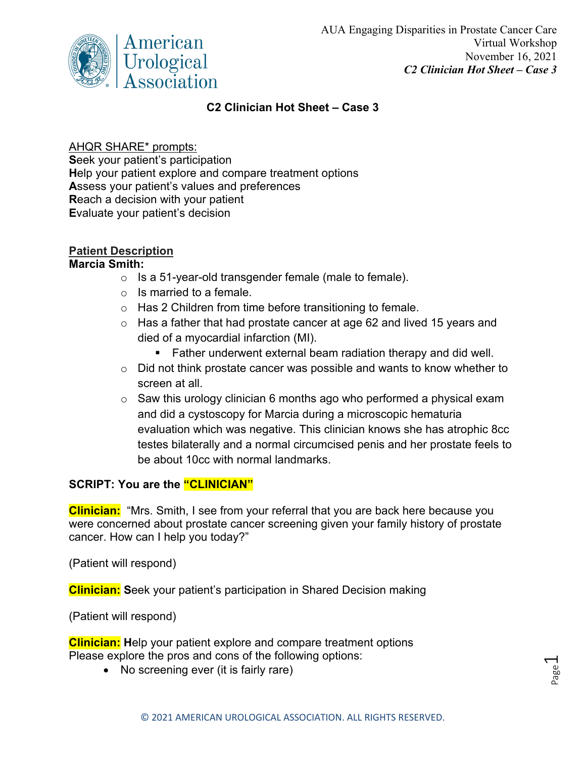

## **C2 Clinician Hot Sheet – Case 3**

## AHQR SHARE\* prompts:

**S**eek your patient's participation **H**elp your patient explore and compare treatment options **A**ssess your patient's values and preferences **R**each a decision with your patient **E**valuate your patient's decision

# **Patient Description**

#### **Marcia Smith:**

- o Is a 51-year-old transgender female (male to female).
- $\circ$  Is married to a female.
- $\circ$  Has 2 Children from time before transitioning to female.
- $\circ$  Has a father that had prostate cancer at age 62 and lived 15 years and died of a myocardial infarction (MI).
	- **Father underwent external beam radiation therapy and did well.**
- $\circ$  Did not think prostate cancer was possible and wants to know whether to screen at all.
- $\circ$  Saw this urology clinician 6 months ago who performed a physical exam and did a cystoscopy for Marcia during a microscopic hematuria evaluation which was negative. This clinician knows she has atrophic 8cc testes bilaterally and a normal circumcised penis and her prostate feels to be about 10cc with normal landmarks.

### **SCRIPT: You are the "CLINICIAN"**

**Clinician:** "Mrs. Smith, I see from your referral that you are back here because you were concerned about prostate cancer screening given your family history of prostate cancer. How can I help you today?"

(Patient will respond)

**Clinician: S**eek your patient's participation in Shared Decision making

(Patient will respond)

**Clinician: H**elp your patient explore and compare treatment options Please explore the pros and cons of the following options:

• No screening ever (it is fairly rare)